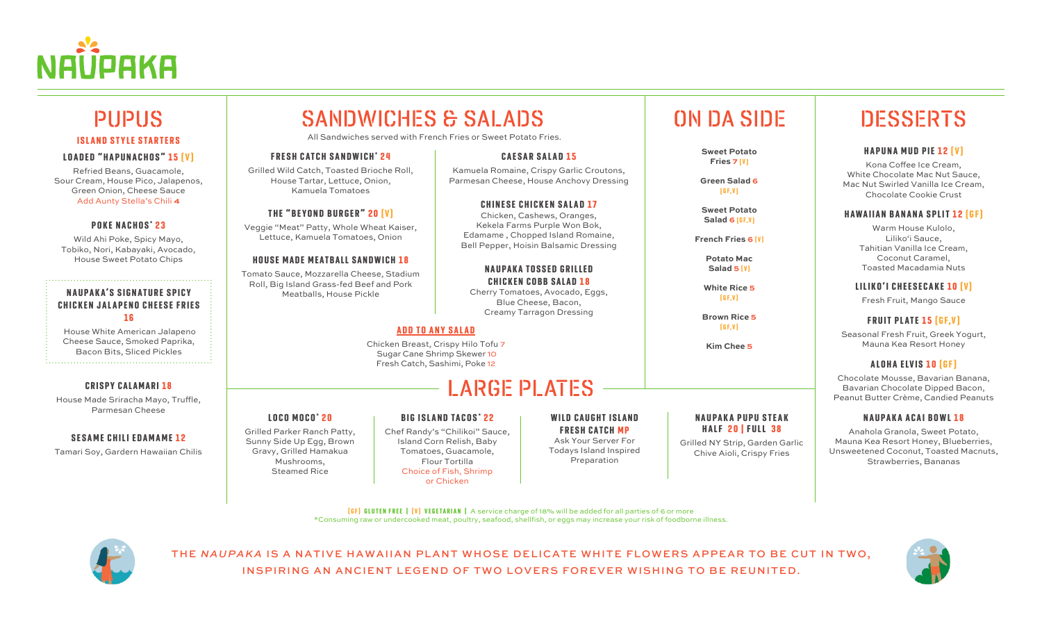

# ISLAND STYLE STARTERS

#### LOADED "HAPUNACHOS" 15 [V]

Refried Beans, Guacamole, Sour Cream, House Pico, Jalapenos, Green Onion, Cheese Sauce Add Aunty Stella's Chili **4**

#### POKE NACHOS\* 23

Wild Ahi Poke, Spicy Mayo, Tobiko, Nori, Kabayaki, Avocado, House Sweet Potato Chips

#### NAUPAKA'S SIGNATURE SPICY **CHICKEN JALAPENO CHEESE FRIES** 1 6

 House White American Jalapeno Cheese Sauce, Smoked Paprika, Bacon Bits, Sliced Pickles

#### **CRISPY CALAMARI 18**

House Made Sriracha Mayo, Truffle, Parmesan Cheese

#### **SESAME CHILI EDAMAME 12**

Tamari Soy, Gardern Hawaiian Chilis

# **SANDWICHES & SALADS**

All Sandwiches served with French Fries or Sweet Potato Fries.

#### FRESH CATCH SANDWICH\* 24

Grilled Wild Catch, Toasted Brioche Roll, House Tartar, Lettuce, Onion, Kamuela Tomatoes

### THE "BEYOND BURGER" 20 (V)

Veggie "Meat" Patty, Whole Wheat Kaiser, Lettuce, Kamuela Tomatoes, Onion

#### **HOUSE MADE MEATBALL SANDWICH 18**

Tomato Sauce, Mozzarella Cheese, Stadium Roll, Big Island Grass-fed Beef and Pork Meatballs, House Pickle

#### ADD TO ANY SALAD

Chicken Breast, Crispy Hilo Tofu 7 Sugar Cane Shrimp Skewer 10 Fresh Catch, Sashimi, Poke 12

## LARGE PLATES

**CAESAR SALAD 15** Kamuela Romaine, Crispy Garlic Croutons, Parmesan Cheese, House Anchovy Dressing

**CHINESE CHICKEN SALAD 17** Chicken, Cashews, Oranges, Kekela Farms Purple Won Bok, Edamame , Chopped Island Romaine, Bell Pepper, Hoisin Balsamic Dressing

**NAUPAKA TOSSED GRILLED CHICKEN COBB SALAD 18** Cherry Tomatoes, Avocado, Eggs, Blue Cheese, Bacon, Creamy Tarragon Dressing

#### LOCO MOCO\* 20

Grilled Parker Ranch Patty, Sunny Side Up Egg, Brown Gravy, Grilled Hamakua Mushrooms, Steamed Rice

### **BIG ISLAND TACOS\* 22**

Chef Randy's "Chilikoi" Sauce, Island Corn Relish, Baby Tomatoes, Guacamole, Flour Tortilla Choice of Fish, Shrimp or Chicken

Ask Your Server For Todays Island Inspired Preparation

# **ON DA SIDE**

**Sweet Potato Fries 7 [V]** 

**Green Salad 6**   $[6F,V]$ 

**Sweet Potato Salad 6 [GF, V]** 

**French Fries 6 [V]** 

**Potato Mac**  Salad 5 [V]

**White Rice 5**   $[6F,V]$ 

**Brown Rice 5**   $[6F,V]$ 

**Kim Chee 5**

#### **NAUPAKA PUPU STEAK** HALF 20 | FULL 38

Grilled NY Strip, Garden Garlic Chive Aioli, Crispy Fries

## **DESSERTS**

#### HAPUNA MUD PIE 12 [V]

Kona Coffee Ice Cream, White Chocolate Mac Nut Sauce, Mac Nut Swirled Vanilla Ice Cream, Chocolate Cookie Crust

#### **HAWAIIAN BANANA SPLIT 12 [GF]**

Warm House Kulolo, Liliko'i Sauce, Tahitian Vanilla Ice Cream, Coconut Caramel, Toasted Macadamia Nuts

LILIKO'I CHEESECAKE 10 (V)

Fresh Fruit, Mango Sauce

### FRUIT PLATE 15 [GF, V]

Seasonal Fresh Fruit, Greek Yogurt, Mauna Kea Resort Honey

### ALOHA ELVIS 10 [GF]

Chocolate Mousse, Bavarian Banana, Bavarian Chocolate Dipped Bacon, Peanut Butter Crème, Candied Peanuts

#### NAUPAKA ACAI BOWL 18

Anahola Granola, Sweet Potato, Mauna Kea Resort Honey, Blueberries, Unsweetened Coconut, Toasted Macnuts, Strawberries, Bananas

( G F) GLUTEN FREE | ( V ) VEGETARIAN | A service charge of 18% will be added for all parties of 6 or more \*Consuming raw or undercooked meat, poultry, seafood, shellfish, or eggs may increase your risk of foodborne illness.



THE *NAUPAKA* IS A NATIVE HAWAIIAN PLANT WHOSE DELICATE WHITE FLOWERS APPEAR TO BE CUT IN TWO, INSPIRING AN ANCIENT LEGEND OF TWO LOVERS FOREVER WISHING TO BE REUNITED.



**FRESH CATCH MP** 

## WILD CAUGHT ISLAND